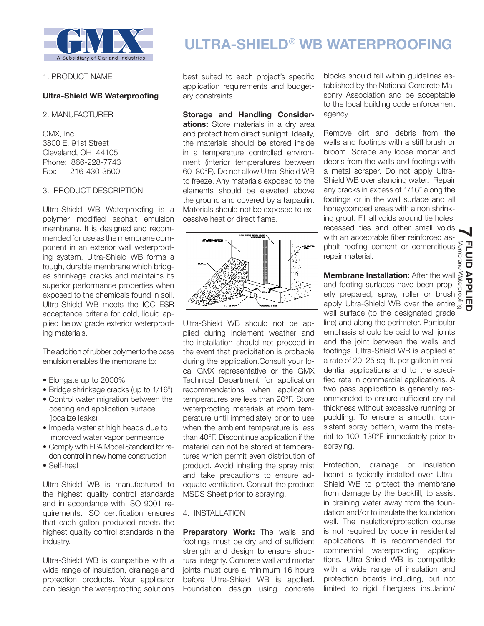

## 1. PRODUCT NAME

# **Ultra-Shield WB Waterproofing**

2. MANUFACTURER

GMX, Inc. 3800 E. 91st Street Cleveland, OH 44105 Phone: 866-228-7743 Fax: 216-430-3500

## 3. PRODUCT DESCRIPTION

Ultra-Shield WB Waterproofing is a polymer modified asphalt emulsion membrane. It is designed and recommended for use as the membrane component in an exterior wall waterproofing system. Ultra-Shield WB forms a tough, durable membrane which bridges shrinkage cracks and maintains its superior performance properties when exposed to the chemicals found in soil. Ultra-Shield WB meets the ICC ESR acceptance criteria for cold, liquid applied below grade exterior waterproofing materials.

The addition of rubber polymer to the base emulsion enables the membrane to:

- Elongate up to 2000%
- Bridge shrinkage cracks (up to 1/16")
- Control water migration between the coating and application surface (localize leaks)
- Impede water at high heads due to improved water vapor permeance
- Comply with EPA Model Standard for radon control in new home construction
- Self-heal

Ultra-Shield WB is manufactured to the highest quality control standards and in accordance with ISO 9001 requirements. ISO certification ensures that each gallon produced meets the highest quality control standards in the industry.

Ultra-Shield WB is compatible with a wide range of insulation, drainage and protection products. Your applicator can design the waterproofing solutions

# **ULTRA-SHIELD**® **WB WATERPROOFING**

best suited to each project's specific application requirements and budgetary constraints.

**Storage and Handling Considerations:** Store materials in a dry area and protect from direct sunlight. Ideally, the materials should be stored inside in a temperature controlled environment (interior temperatures between 60–80°F). Do not allow Ultra-Shield WB to freeze. Any materials exposed to the elements should be elevated above the ground and covered by a tarpaulin. Materials should not be exposed to excessive heat or direct flame.



Ultra-Shield WB should not be applied during inclement weather and the installation should not proceed in the event that precipitation is probable during the application.Consult your local GMX representative or the GMX Technical Department for application recommendations when application temperatures are less than 20°F. Store waterproofing materials at room temperature until immediately prior to use when the ambient temperature is less than 40°F. Discontinue application if the material can not be stored at temperatures which permit even distribution of product. Avoid inhaling the spray mist and take precautions to ensure adequate ventilation. Consult the product MSDS Sheet prior to spraying.

# 4. INSTALLATION

**Preparatory Work:** The walls and footings must be dry and of sufficient strength and design to ensure structural integrity. Concrete wall and mortar joints must cure a minimum 16 hours before Ultra-Shield WB is applied. Foundation design using concrete blocks should fall within guidelines established by the National Concrete Masonry Association and be acceptable to the local building code enforcement agency.

Remove dirt and debris from the walls and footings with a stiff brush or broom. Scrape any loose mortar and debris from the walls and footings with a metal scraper. Do not apply Ultra-Shield WB over standing water. Repair any cracks in excess of 1/16" along the footings or in the wall surface and all honeycombed areas with a non shrinking grout. Fill all voids around tie holes, recessed ties and other small voids with an acceptable fiber reinforced asphalt roofing cement or cementitious repair material.

**Membrane Installation:** After the wall and footing surfaces have been properly prepared, spray, roller or brush apply Ultra-Shield WB over the entire wall surface (to the designated grade line) and along the perimeter. Particular emphasis should be paid to wall joints and the joint between the walls and footings. Ultra-Shield WB is applied at a rate of 20–25 sq. ft. per gallon in residential applications and to the specified rate in commercial applications. A two pass application is generally recommended to ensure sufficient dry mil thickness without excessive running or puddling. To ensure a smooth, consistent spray pattern, warm the material to 100–130°F immediately prior to spraying.

Protection, drainage or insulation board is typically installed over Ultra-Shield WB to protect the membrane from damage by the backfill, to assist in draining water away from the foundation and/or to insulate the foundation wall. The insulation/protection course is not required by code in residential applications. It is recommended for commercial waterproofing applications. Ultra-Shield WB is compatible with a wide range of insulation and protection boards including, but not limited to rigid fiberglass insulation/